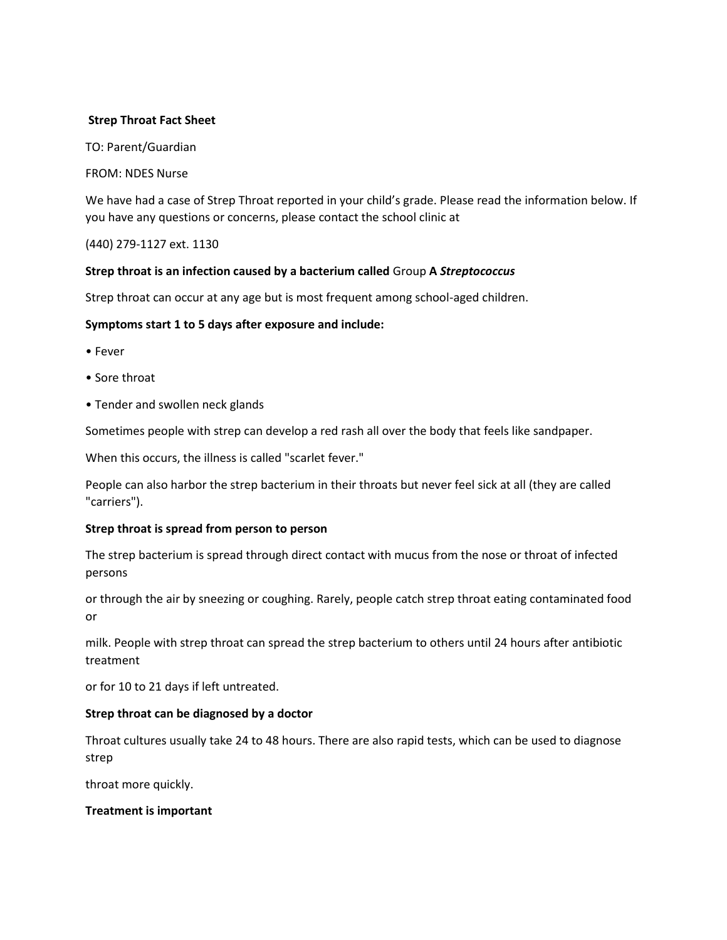## **Strep Throat Fact Sheet**

TO: Parent/Guardian

FROM: NDES Nurse

We have had a case of Strep Throat reported in your child's grade. Please read the information below. If you have any questions or concerns, please contact the school clinic at

(440) 279-1127 ext. 1130

# **Strep throat is an infection caused by a bacterium called** Group **A** *Streptococcus*

Strep throat can occur at any age but is most frequent among school-aged children.

### **Symptoms start 1 to 5 days after exposure and include:**

- Fever
- Sore throat
- Tender and swollen neck glands

Sometimes people with strep can develop a red rash all over the body that feels like sandpaper.

When this occurs, the illness is called "scarlet fever."

People can also harbor the strep bacterium in their throats but never feel sick at all (they are called "carriers").

### **Strep throat is spread from person to person**

The strep bacterium is spread through direct contact with mucus from the nose or throat of infected persons

or through the air by sneezing or coughing. Rarely, people catch strep throat eating contaminated food or

milk. People with strep throat can spread the strep bacterium to others until 24 hours after antibiotic treatment

or for 10 to 21 days if left untreated.

#### **Strep throat can be diagnosed by a doctor**

Throat cultures usually take 24 to 48 hours. There are also rapid tests, which can be used to diagnose strep

throat more quickly.

#### **Treatment is important**